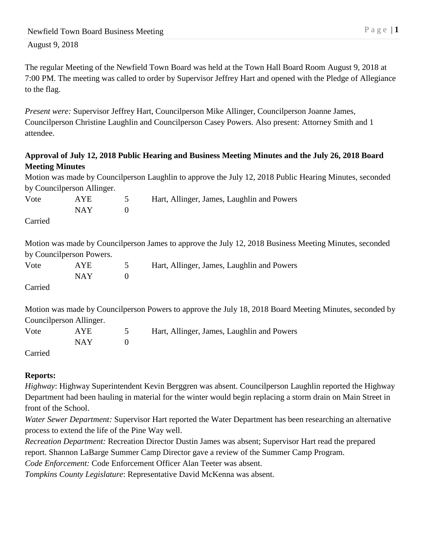The regular Meeting of the Newfield Town Board was held at the Town Hall Board Room August 9, 2018 at 7:00 PM. The meeting was called to order by Supervisor Jeffrey Hart and opened with the Pledge of Allegiance to the flag.

*Present were:* Supervisor Jeffrey Hart, Councilperson Mike Allinger, Councilperson Joanne James, Councilperson Christine Laughlin and Councilperson Casey Powers. Also present: Attorney Smith and 1 attendee.

## **Approval of July 12, 2018 Public Hearing and Business Meeting Minutes and the July 26, 2018 Board Meeting Minutes**

Motion was made by Councilperson Laughlin to approve the July 12, 2018 Public Hearing Minutes, seconded by Councilperson Allinger.

| Vote    | <b>AYE</b><br>5          |                | Hart, Allinger, James, Laughlin and Powers                                                             |  |  |  |
|---------|--------------------------|----------------|--------------------------------------------------------------------------------------------------------|--|--|--|
|         | <b>NAY</b>               | $\overline{0}$ |                                                                                                        |  |  |  |
| Carried |                          |                |                                                                                                        |  |  |  |
|         |                          |                | Motion was made by Councilperson James to approve the July 12, 2018 Business Meeting Minutes, seconded |  |  |  |
|         | by Councilperson Powers. |                |                                                                                                        |  |  |  |
| Vote    | AYE                      | 5              | Hart, Allinger, James, Laughlin and Powers                                                             |  |  |  |
|         | <b>NAY</b>               | $\theta$       |                                                                                                        |  |  |  |
| Carried |                          |                |                                                                                                        |  |  |  |
| .       |                          |                |                                                                                                        |  |  |  |

Motion was made by Councilperson Powers to approve the July 18, 2018 Board Meeting Minutes, seconded by Councilperson Allinger.

| Vote               | <b>AYE</b> | Hart, Allinger, James, Laughlin and Powers |
|--------------------|------------|--------------------------------------------|
|                    | NAY -      |                                            |
| C <sub>omiol</sub> |            |                                            |

Carried

## **Reports:**

*Highway*: Highway Superintendent Kevin Berggren was absent. Councilperson Laughlin reported the Highway Department had been hauling in material for the winter would begin replacing a storm drain on Main Street in front of the School.

*Water Sewer Department:* Supervisor Hart reported the Water Department has been researching an alternative process to extend the life of the Pine Way well.

*Recreation Department:* Recreation Director Dustin James was absent; Supervisor Hart read the prepared report. Shannon LaBarge Summer Camp Director gave a review of the Summer Camp Program.

*Code Enforcement:* Code Enforcement Officer Alan Teeter was absent.

*Tompkins County Legislature*: Representative David McKenna was absent.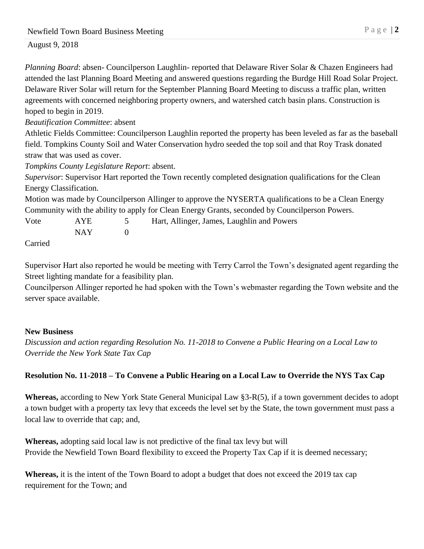*Planning Board*: absen- Councilperson Laughlin- reported that Delaware River Solar & Chazen Engineers had attended the last Planning Board Meeting and answered questions regarding the Burdge Hill Road Solar Project. Delaware River Solar will return for the September Planning Board Meeting to discuss a traffic plan, written agreements with concerned neighboring property owners, and watershed catch basin plans. Construction is hoped to begin in 2019.

*Beautification Committee*: absent

Athletic Fields Committee: Councilperson Laughlin reported the property has been leveled as far as the baseball field. Tompkins County Soil and Water Conservation hydro seeded the top soil and that Roy Trask donated straw that was used as cover.

*Tompkins County Legislature Report*: absent.

*Supervisor*: Supervisor Hart reported the Town recently completed designation qualifications for the Clean Energy Classification.

Motion was made by Councilperson Allinger to approve the NYSERTA qualifications to be a Clean Energy Community with the ability to apply for Clean Energy Grants, seconded by Councilperson Powers.

Vote AYE 5 Hart, Allinger, James, Laughlin and Powers  $NAY$  0

Carried

Supervisor Hart also reported he would be meeting with Terry Carrol the Town's designated agent regarding the Street lighting mandate for a feasibility plan.

Councilperson Allinger reported he had spoken with the Town's webmaster regarding the Town website and the server space available.

#### **New Business**

*Discussion and action regarding Resolution No. 11-2018 to Convene a Public Hearing on a Local Law to Override the New York State Tax Cap*

## **Resolution No. 11-2018 – To Convene a Public Hearing on a Local Law to Override the NYS Tax Cap**

**Whereas,** according to New York State General Municipal Law §3-R(5), if a town government decides to adopt a town budget with a property tax levy that exceeds the level set by the State, the town government must pass a local law to override that cap; and,

**Whereas,** adopting said local law is not predictive of the final tax levy but will Provide the Newfield Town Board flexibility to exceed the Property Tax Cap if it is deemed necessary;

**Whereas,** it is the intent of the Town Board to adopt a budget that does not exceed the 2019 tax cap requirement for the Town; and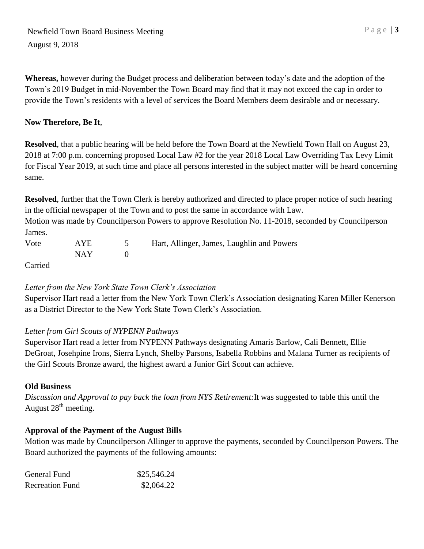**Whereas,** however during the Budget process and deliberation between today's date and the adoption of the Town's 2019 Budget in mid-November the Town Board may find that it may not exceed the cap in order to provide the Town's residents with a level of services the Board Members deem desirable and or necessary.

# **Now Therefore, Be It**,

**Resolved**, that a public hearing will be held before the Town Board at the Newfield Town Hall on August 23, 2018 at 7:00 p.m. concerning proposed Local Law #2 for the year 2018 Local Law Overriding Tax Levy Limit for Fiscal Year 2019, at such time and place all persons interested in the subject matter will be heard concerning same.

**Resolved**, further that the Town Clerk is hereby authorized and directed to place proper notice of such hearing in the official newspaper of the Town and to post the same in accordance with Law.

Motion was made by Councilperson Powers to approve Resolution No. 11-2018, seconded by Councilperson James.

| Vote    | AYE   | Hart, Allinger, James, Laughlin and Powers |
|---------|-------|--------------------------------------------|
|         | NAY - |                                            |
| Carriad |       |                                            |

Carried

# *Letter from the New York State Town Clerk's Association*

Supervisor Hart read a letter from the New York Town Clerk's Association designating Karen Miller Kenerson as a District Director to the New York State Town Clerk's Association.

# *Letter from Girl Scouts of NYPENN Pathways*

Supervisor Hart read a letter from NYPENN Pathways designating Amaris Barlow, Cali Bennett, Ellie DeGroat, Josehpine Irons, Sierra Lynch, Shelby Parsons, Isabella Robbins and Malana Turner as recipients of the Girl Scouts Bronze award, the highest award a Junior Girl Scout can achieve.

## **Old Business**

*Discussion and Approval to pay back the loan from NYS Retirement:*It was suggested to table this until the August  $28<sup>th</sup>$  meeting.

# **Approval of the Payment of the August Bills**

Motion was made by Councilperson Allinger to approve the payments, seconded by Councilperson Powers. The Board authorized the payments of the following amounts:

| General Fund           | \$25,546.24 |
|------------------------|-------------|
| <b>Recreation Fund</b> | \$2,064.22  |